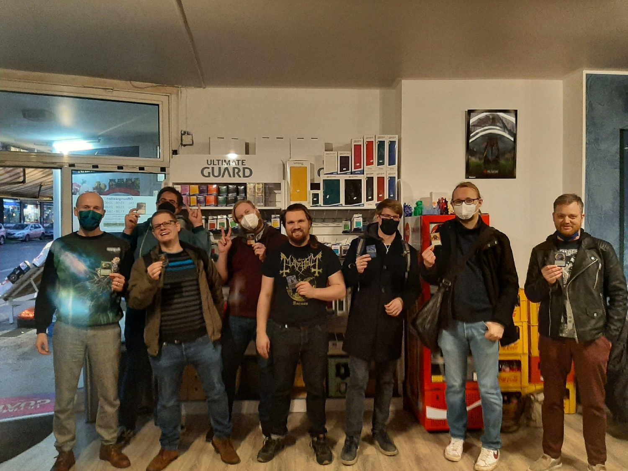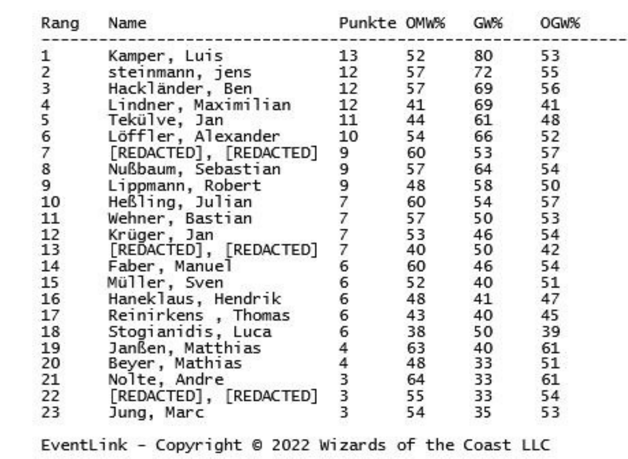| Rang                                              | Name                   | Punkte OMW%   |    | GW% | OGW% |
|---------------------------------------------------|------------------------|---------------|----|-----|------|
| 1                                                 | Kamper, Luis           | 13            | 52 | 80  | 53   |
|                                                   | steinmann, jens        | 12            | 57 | 72  | 55   |
|                                                   | Hackländer, Ben        | 12            | 57 | 69  | 56   |
| $\begin{array}{c}\n2 \\ 3 \\ 4 \\ 5\n\end{array}$ | Lindner, Maximilian    | 12            | 41 | 69  | 41   |
|                                                   | Tekülve, Jan           | 11            | 44 | 61  | 48   |
| 6                                                 | Löffler, Alexander     | 10            | 54 | 66  | 52   |
|                                                   | [REDACTED], [REDACTED] | 9             | 60 | 53  | 57   |
| $\frac{7}{8}$                                     | Nußbaum, Sebastian     | 9             | 57 | 64  | 54   |
| 9                                                 | Lippmann, Robert       |               | 48 | 58  | 50   |
| 10                                                | Heßling, Julian        | 9<br>7        | 60 | 54  | 57   |
| 11                                                | Wehner, Bastian        | 7             | 57 | 50  | 53   |
| 12                                                | Krüger, Jan            | 7             | 53 | 46  | 54   |
| 13                                                | [REDACTED], [REDACTED] | 7             | 40 | 50  | 42   |
| 14                                                | Faber, Manuel          | 6             | 60 | 46  | 54   |
| 15                                                | Müller, Sven           | 6             | 52 | 40  | 51   |
| 16                                                | Haneklaus, Hendrik     | 6             | 48 | 41  | 47   |
| 17                                                | Reinirkens , Thomas    | 6             | 43 | 40  | 45   |
| 18                                                | Stogianidis, Luca      | 6             | 38 | 50  | 39   |
| 19                                                | Janßen, Matthias       |               | 63 | 40  | 61   |
| 20                                                | Beyer, Mathias         | $\frac{4}{4}$ | 48 | 33  | 51   |
| 21                                                | Nolte, Andre           |               | 64 | 33  | 61   |
| 22                                                | [REDACTED], [REDACTED] | ມມມ           | 55 | 33  | 54   |
| 23                                                | Jung, Marc             |               | 54 | 35  | 53   |

EventLink - Copyright @ 2022 Wizards of the Coast LLC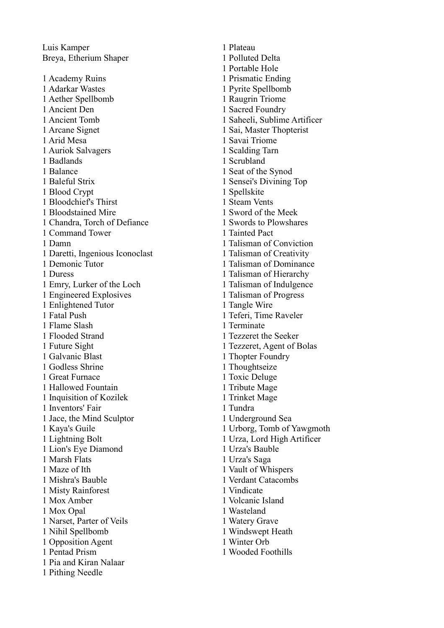Luis Kamper Breya, Etherium Shaper 1 Academy Ruins 1 Adarkar Wastes 1 Aether Spellbomb 1 Ancient Den 1 Ancient Tomb 1 Arcane Signet 1 Arid Mesa 1 Auriok Salvagers 1 Badlands 1 Balance 1 Baleful Strix 1 Blood Crypt 1 Bloodchief's Thirst 1 Bloodstained Mire 1 Chandra, Torch of Defiance 1 Command Tower 1 Damn 1 Daretti, Ingenious Iconoclast 1 Demonic Tutor 1 Duress 1 Emry, Lurker of the Loch 1 Engineered Explosives 1 Enlightened Tutor 1 Fatal Push 1 Flame Slash 1 Flooded Strand 1 Future Sight 1 Galvanic Blast 1 Godless Shrine 1 Great Furnace 1 Hallowed Fountain 1 Inquisition of Kozilek 1 Inventors' Fair 1 Jace, the Mind Sculptor 1 Kaya's Guile 1 Lightning Bolt 1 Lion's Eye Diamond 1 Marsh Flats 1 Maze of Ith 1 Mishra's Bauble 1 Misty Rainforest 1 Mox Amber 1 Mox Opal 1 Narset, Parter of Veils 1 Nihil Spellbomb 1 Opposition Agent 1 Pentad Prism 1 Pia and Kiran Nalaar 1 Pithing Needle

1 Plateau 1 Polluted Delta 1 Portable Hole 1 Prismatic Ending 1 Pyrite Spellbomb 1 Raugrin Triome 1 Sacred Foundry 1 Saheeli, Sublime Artificer 1 Sai, Master Thopterist 1 Savai Triome 1 Scalding Tarn 1 Scrubland 1 Seat of the Synod 1 Sensei's Divining Top 1 Spellskite 1 Steam Vents 1 Sword of the Meek 1 Swords to Plowshares 1 Tainted Pact 1 Talisman of Conviction 1 Talisman of Creativity 1 Talisman of Dominance 1 Talisman of Hierarchy 1 Talisman of Indulgence 1 Talisman of Progress 1 Tangle Wire 1 Teferi, Time Raveler 1 Terminate 1 Tezzeret the Seeker 1 Tezzeret, Agent of Bolas 1 Thopter Foundry 1 Thoughtseize 1 Toxic Deluge 1 Tribute Mage 1 Trinket Mage 1 Tundra 1 Underground Sea 1 Urborg, Tomb of Yawgmoth 1 Urza, Lord High Artificer 1 Urza's Bauble 1 Urza's Saga 1 Vault of Whispers 1 Verdant Catacombs 1 Vindicate 1 Volcanic Island 1 Wasteland 1 Watery Grave 1 Windswept Heath 1 Winter Orb 1 Wooded Foothills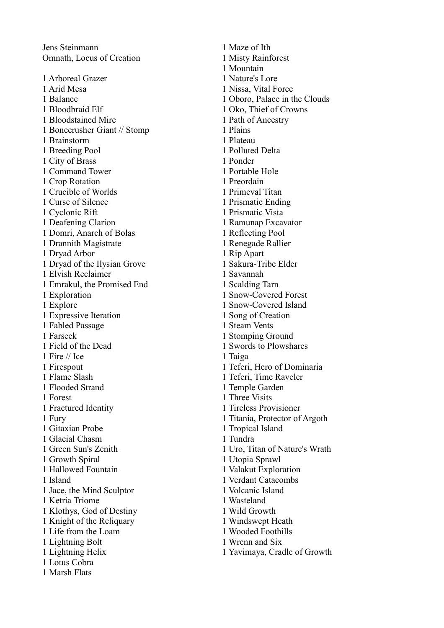Jens Steinmann Omnath, Locus of Creation 1 Arboreal Grazer 1 Arid Mesa 1 Balance 1 Bloodbraid Elf 1 Bloodstained Mire 1 Bonecrusher Giant // Stomp 1 Brainstorm 1 Breeding Pool 1 City of Brass 1 Command Tower 1 Crop Rotation 1 Crucible of Worlds 1 Curse of Silence 1 Cyclonic Rift 1 Deafening Clarion 1 Domri, Anarch of Bolas 1 Drannith Magistrate 1 Dryad Arbor 1 Dryad of the Ilysian Grove 1 Elvish Reclaimer 1 Emrakul, the Promised End 1 Exploration 1 Explore 1 Expressive Iteration 1 Fabled Passage 1 Farseek 1 Field of the Dead 1 Fire // Ice 1 Firespout 1 Flame Slash 1 Flooded Strand 1 Forest 1 Fractured Identity 1 Fury 1 Gitaxian Probe 1 Glacial Chasm 1 Green Sun's Zenith 1 Growth Spiral 1 Hallowed Fountain 1 Island 1 Jace, the Mind Sculptor 1 Ketria Triome 1 Klothys, God of Destiny 1 Knight of the Reliquary 1 Life from the Loam 1 Lightning Bolt 1 Lightning Helix 1 Lotus Cobra 1 Marsh Flats

1 Maze of Ith 1 Misty Rainforest 1 Mountain 1 Nature's Lore 1 Nissa, Vital Force 1 Oboro, Palace in the Clouds 1 Oko, Thief of Crowns 1 Path of Ancestry 1 Plains 1 Plateau 1 Polluted Delta 1 Ponder 1 Portable Hole 1 Preordain 1 Primeval Titan 1 Prismatic Ending 1 Prismatic Vista 1 Ramunap Excavator 1 Reflecting Pool 1 Renegade Rallier 1 Rip Apart 1 Sakura-Tribe Elder 1 Savannah 1 Scalding Tarn 1 Snow-Covered Forest 1 Snow-Covered Island 1 Song of Creation 1 Steam Vents 1 Stomping Ground 1 Swords to Plowshares 1 Taiga 1 Teferi, Hero of Dominaria 1 Teferi, Time Raveler 1 Temple Garden 1 Three Visits 1 Tireless Provisioner 1 Titania, Protector of Argoth 1 Tropical Island 1 Tundra 1 Uro, Titan of Nature's Wrath 1 Utopia Sprawl 1 Valakut Exploration 1 Verdant Catacombs 1 Volcanic Island 1 Wasteland 1 Wild Growth 1 Windswept Heath 1 Wooded Foothills 1 Wrenn and Six 1 Yavimaya, Cradle of Growth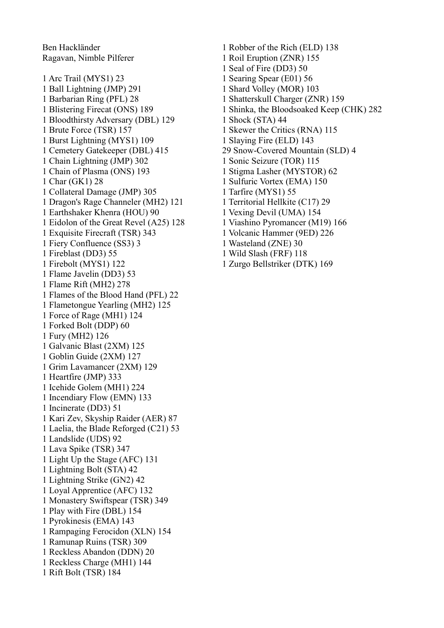Ben Hackländer Ragavan, Nimble Pilferer 1 Arc Trail (MYS1) 23 1 Ball Lightning (JMP) 291 1 Barbarian Ring (PFL) 28 1 Blistering Firecat (ONS) 189 1 Bloodthirsty Adversary (DBL) 129 1 Brute Force (TSR) 157 1 Burst Lightning (MYS1) 109 1 Cemetery Gatekeeper (DBL) 415 1 Chain Lightning (JMP) 302 1 Chain of Plasma (ONS) 193 1 Char (GK1) 28 1 Collateral Damage (JMP) 305 1 Dragon's Rage Channeler (MH2) 121 1 Earthshaker Khenra (HOU) 90 1 Eidolon of the Great Revel (A25) 128 1 Exquisite Firecraft (TSR) 343 1 Fiery Confluence (SS3) 3 1 Fireblast (DD3) 55 1 Firebolt (MYS1) 122 1 Flame Javelin (DD3) 53 1 Flame Rift (MH2) 278 1 Flames of the Blood Hand (PFL) 22 1 Flametongue Yearling (MH2) 125 1 Force of Rage (MH1) 124 1 Forked Bolt (DDP) 60 1 Fury (MH2) 126 1 Galvanic Blast (2XM) 125 1 Goblin Guide (2XM) 127 1 Grim Lavamancer (2XM) 129 1 Heartfire (JMP) 333 1 Icehide Golem (MH1) 224 1 Incendiary Flow (EMN) 133 1 Incinerate (DD3) 51 1 Kari Zev, Skyship Raider (AER) 87 1 Laelia, the Blade Reforged (C21) 53 1 Landslide (UDS) 92 1 Lava Spike (TSR) 347 1 Light Up the Stage (AFC) 131 1 Lightning Bolt (STA) 42 1 Lightning Strike (GN2) 42 1 Loyal Apprentice (AFC) 132 1 Monastery Swiftspear (TSR) 349 1 Play with Fire (DBL) 154 1 Pyrokinesis (EMA) 143 1 Rampaging Ferocidon (XLN) 154 1 Ramunap Ruins (TSR) 309 1 Reckless Abandon (DDN) 20 1 Reckless Charge (MH1) 144 1 Rift Bolt (TSR) 184

1 Robber of the Rich (ELD) 138 1 Roil Eruption (ZNR) 155 1 Seal of Fire (DD3) 50 1 Searing Spear (E01) 56 1 Shard Volley (MOR) 103 1 Shatterskull Charger (ZNR) 159 1 Shinka, the Bloodsoaked Keep (CHK) 282 1 Shock (STA) 44 1 Skewer the Critics (RNA) 115 1 Slaying Fire (ELD) 143 29 Snow-Covered Mountain (SLD) 4 1 Sonic Seizure (TOR) 115 1 Stigma Lasher (MYSTOR) 62 1 Sulfuric Vortex (EMA) 150 1 Tarfire (MYS1) 55 1 Territorial Hellkite (C17) 29 1 Vexing Devil (UMA) 154 1 Viashino Pyromancer (M19) 166 1 Volcanic Hammer (9ED) 226 1 Wasteland (ZNE) 30 1 Wild Slash (FRF) 118 1 Zurgo Bellstriker (DTK) 169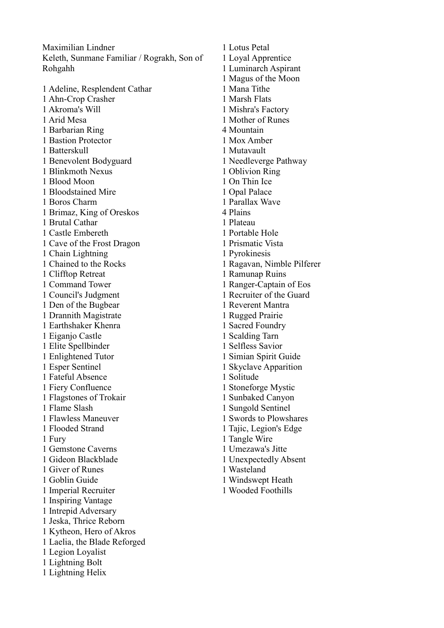Maximilian Lindner Keleth, Sunmane Familiar / Rograkh, Son of Rohgahh

1 Adeline, Resplendent Cathar 1 Ahn-Crop Crasher 1 Akroma's Will 1 Arid Mesa 1 Barbarian Ring 1 Bastion Protector 1 Batterskull 1 Benevolent Bodyguard 1 Blinkmoth Nexus 1 Blood Moon 1 Bloodstained Mire 1 Boros Charm 1 Brimaz, King of Oreskos 1 Brutal Cathar 1 Castle Embereth 1 Cave of the Frost Dragon 1 Chain Lightning 1 Chained to the Rocks 1 Clifftop Retreat 1 Command Tower 1 Council's Judgment 1 Den of the Bugbear 1 Drannith Magistrate 1 Earthshaker Khenra 1 Eiganjo Castle 1 Elite Spellbinder 1 Enlightened Tutor 1 Esper Sentinel 1 Fateful Absence 1 Fiery Confluence 1 Flagstones of Trokair 1 Flame Slash 1 Flawless Maneuver 1 Flooded Strand 1 Fury 1 Gemstone Caverns 1 Gideon Blackblade 1 Giver of Runes 1 Goblin Guide 1 Imperial Recruiter 1 Inspiring Vantage 1 Intrepid Adversary 1 Jeska, Thrice Reborn 1 Kytheon, Hero of Akros 1 Laelia, the Blade Reforged 1 Legion Loyalist 1 Lightning Bolt 1 Lightning Helix

1 Lotus Petal 1 Loyal Apprentice 1 Luminarch Aspirant 1 Magus of the Moon 1 Mana Tithe 1 Marsh Flats 1 Mishra's Factory 1 Mother of Runes 4 Mountain 1 Mox Amber 1 Mutavault 1 Needleverge Pathway 1 Oblivion Ring 1 On Thin Ice 1 Opal Palace 1 Parallax Wave 4 Plains 1 Plateau 1 Portable Hole 1 Prismatic Vista 1 Pyrokinesis 1 Ragavan, Nimble Pilferer 1 Ramunap Ruins 1 Ranger-Captain of Eos 1 Recruiter of the Guard 1 Reverent Mantra 1 Rugged Prairie 1 Sacred Foundry 1 Scalding Tarn 1 Selfless Savior 1 Simian Spirit Guide 1 Skyclave Apparition 1 Solitude 1 Stoneforge Mystic 1 Sunbaked Canyon 1 Sungold Sentinel 1 Swords to Plowshares 1 Tajic, Legion's Edge 1 Tangle Wire 1 Umezawa's Jitte 1 Unexpectedly Absent 1 Wasteland 1 Windswept Heath 1 Wooded Foothills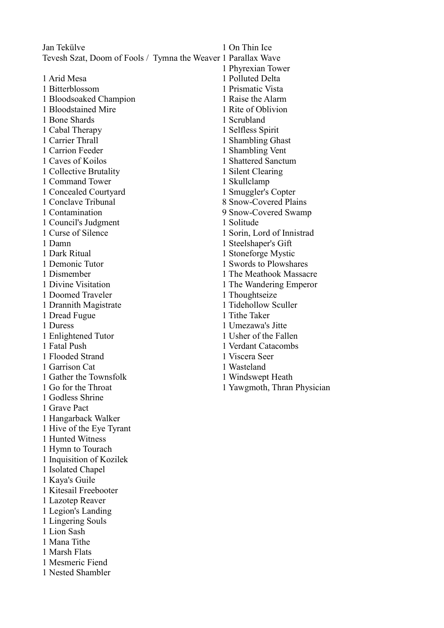| Jan Tekülve                                                   | 1 On Thin Ice               |  |  |
|---------------------------------------------------------------|-----------------------------|--|--|
| Tevesh Szat, Doom of Fools / Tymna the Weaver 1 Parallax Wave |                             |  |  |
|                                                               | 1 Phyrexian Tower           |  |  |
| 1 Arid Mesa                                                   | 1 Polluted Delta            |  |  |
| 1 Bitterblossom                                               | 1 Prismatic Vista           |  |  |
| 1 Bloodsoaked Champion                                        | 1 Raise the Alarm           |  |  |
| 1 Bloodstained Mire                                           | 1 Rite of Oblivion          |  |  |
| 1 Bone Shards                                                 | 1 Scrubland                 |  |  |
| 1 Cabal Therapy                                               | 1 Selfless Spirit           |  |  |
| 1 Carrier Thrall                                              | 1 Shambling Ghast           |  |  |
| 1 Carrion Feeder                                              | 1 Shambling Vent            |  |  |
| 1 Caves of Koilos                                             | 1 Shattered Sanctum         |  |  |
| 1 Collective Brutality                                        | 1 Silent Clearing           |  |  |
| 1 Command Tower                                               | 1 Skullclamp                |  |  |
| 1 Concealed Courtyard                                         | 1 Smuggler's Copter         |  |  |
| 1 Conclave Tribunal                                           | 8 Snow-Covered Plains       |  |  |
| 1 Contamination                                               | 9 Snow-Covered Swamp        |  |  |
| 1 Council's Judgment                                          | 1 Solitude                  |  |  |
| 1 Curse of Silence                                            | 1 Sorin, Lord of Innistrad  |  |  |
| 1 Damn                                                        | 1 Steelshaper's Gift        |  |  |
| 1 Dark Ritual                                                 | 1 Stoneforge Mystic         |  |  |
| 1 Demonic Tutor                                               | 1 Swords to Plowshares      |  |  |
| 1 Dismember                                                   | 1 The Meathook Massacre     |  |  |
| 1 Divine Visitation                                           | 1 The Wandering Emperor     |  |  |
| 1 Doomed Traveler                                             | 1 Thoughtseize              |  |  |
| 1 Drannith Magistrate                                         | 1 Tidehollow Sculler        |  |  |
| 1 Dread Fugue                                                 | 1 Tithe Taker               |  |  |
| 1 Duress                                                      | 1 Umezawa's Jitte           |  |  |
| 1 Enlightened Tutor                                           | 1 Usher of the Fallen       |  |  |
| 1 Fatal Push                                                  | 1 Verdant Catacombs         |  |  |
| 1 Flooded Strand                                              | 1 Viscera Seer              |  |  |
| 1 Garrison Cat                                                | 1 Wasteland                 |  |  |
| 1 Gather the Townsfolk                                        | 1 Windswept Heath           |  |  |
| 1 Go for the Throat                                           | 1 Yawgmoth, Thran Physician |  |  |
| 1 Godless Shrine                                              |                             |  |  |
| 1 Grave Pact                                                  |                             |  |  |
| 1 Hangarback Walker                                           |                             |  |  |
| 1 Hive of the Eye Tyrant                                      |                             |  |  |
| 1 Hunted Witness                                              |                             |  |  |
| 1 Hymn to Tourach                                             |                             |  |  |
| 1 Inquisition of Kozilek                                      |                             |  |  |
| 1 Isolated Chapel                                             |                             |  |  |
| 1 Kaya's Guile                                                |                             |  |  |
| 1 Kitesail Freebooter                                         |                             |  |  |
| 1 Lazotep Reaver                                              |                             |  |  |
| 1 Legion's Landing                                            |                             |  |  |
| 1 Lingering Souls                                             |                             |  |  |
| 1 Lion Sash                                                   |                             |  |  |
| 1 Mana Tithe                                                  |                             |  |  |
| 1 Marsh Flats                                                 |                             |  |  |
| 1 Mesmeric Fiend                                              |                             |  |  |
|                                                               |                             |  |  |

1 Nested Shambler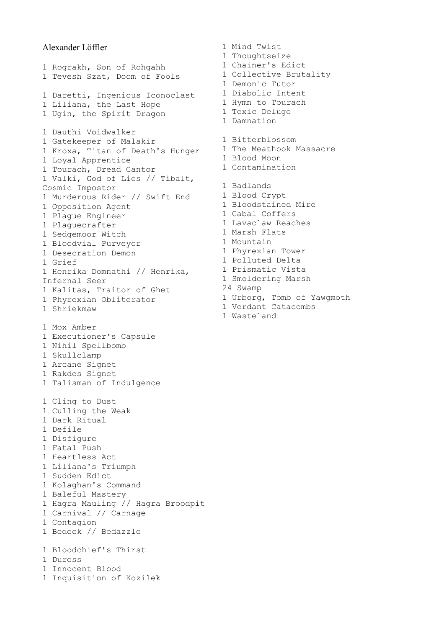## Alexander Löffler

1 Rograkh, Son of Rohgahh 1 Tevesh Szat, Doom of Fools 1 Daretti, Ingenious Iconoclast 1 Diabolic Intent 1 Liliana, the Last Hope 1 Ugin, the Spirit Dragon 1 Dauthi Voidwalker 1 Gatekeeper of Malakir 1 Kroxa, Titan of Death's Hunger 1 Loyal Apprentice 1 Tourach, Dread Cantor 1 Valki, God of Lies // Tibalt, Cosmic Impostor 1 Murderous Rider // Swift End 1 Blood Crypt 1 Opposition Agent 1 Plague Engineer 1 Plaguecrafter 1 Sedgemoor Witch 1 Bloodvial Purveyor 1 Desecration Demon 1 Grief 1 Henrika Domnathi // Henrika, 1 Prismatic Vista Infernal Seer 1 Kalitas, Traitor of Ghet 1 Phyrexian Obliterator 1 Shriekmaw 1 Mox Amber 1 Executioner's Capsule 1 Nihil Spellbomb 1 Skullclamp 1 Arcane Signet 1 Rakdos Signet 1 Talisman of Indulgence 1 Cling to Dust 1 Culling the Weak 1 Dark Ritual 1 Defile 1 Disfigure 1 Fatal Push 1 Heartless Act 1 Liliana's Triumph 1 Sudden Edict 1 Kolaghan's Command 1 Baleful Mastery 1 Hagra Mauling // Hagra Broodpit 1 Carnival // Carnage 1 Contagion 1 Bedeck // Bedazzle 1 Bloodchief's Thirst 1 Duress 1 Innocent Blood 1 Inquisition of Kozilek

1 Mind Twist 1 Thoughtseize 1 Chainer's Edict 1 Collective Brutality 1 Demonic Tutor 1 Hymn to Tourach 1 Toxic Deluge 1 Damnation 1 Bitterblossom 1 The Meathook Massacre 1 Blood Moon 1 Contamination 1 Badlands 1 Bloodstained Mire 1 Cabal Coffers 1 Lavaclaw Reaches 1 Marsh Flats 1 Mountain 1 Phyrexian Tower 1 Polluted Delta 1 Smoldering Marsh 24 Swamp 1 Urborg, Tomb of Yawgmoth 1 Verdant Catacombs 1 Wasteland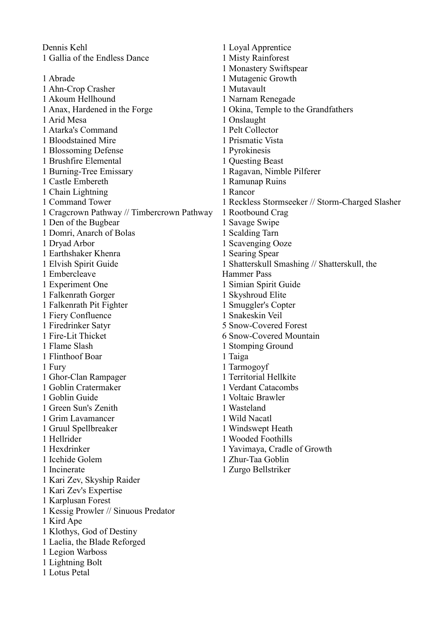Dennis Kehl 1 Gallia of the Endless Dance 1 Abrade 1 Ahn-Crop Crasher 1 Akoum Hellhound 1 Anax, Hardened in the Forge 1 Arid Mesa 1 Atarka's Command 1 Bloodstained Mire 1 Blossoming Defense 1 Brushfire Elemental 1 Burning-Tree Emissary 1 Castle Embereth 1 Chain Lightning 1 Command Tower 1 Cragcrown Pathway // Timbercrown Pathway 1 Den of the Bugbear 1 Domri, Anarch of Bolas 1 Dryad Arbor 1 Earthshaker Khenra 1 Elvish Spirit Guide 1 Embercleave 1 Experiment One 1 Falkenrath Gorger 1 Falkenrath Pit Fighter 1 Fiery Confluence 1 Firedrinker Satyr 1 Fire-Lit Thicket 1 Flame Slash 1 Flinthoof Boar 1 Fury 1 Ghor-Clan Rampager 1 Goblin Cratermaker 1 Goblin Guide 1 Green Sun's Zenith 1 Grim Lavamancer 1 Gruul Spellbreaker 1 Hellrider 1 Hexdrinker 1 Icehide Golem 1 Incinerate 1 Kari Zev, Skyship Raider 1 Kari Zev's Expertise 1 Karplusan Forest 1 Kessig Prowler // Sinuous Predator 1 Kird Ape 1 Klothys, God of Destiny 1 Laelia, the Blade Reforged 1 Legion Warboss 1 Lightning Bolt 1 Lotus Petal

1 Loyal Apprentice 1 Misty Rainforest 1 Monastery Swiftspear 1 Mutagenic Growth 1 Mutavault 1 Narnam Renegade 1 Okina, Temple to the Grandfathers 1 Onslaught 1 Pelt Collector 1 Prismatic Vista 1 Pyrokinesis 1 Questing Beast 1 Ragavan, Nimble Pilferer 1 Ramunap Ruins 1 Rancor 1 Reckless Stormseeker // Storm-Charged Slasher 1 Rootbound Crag 1 Savage Swipe 1 Scalding Tarn 1 Scavenging Ooze 1 Searing Spear 1 Shatterskull Smashing // Shatterskull, the Hammer Pass 1 Simian Spirit Guide 1 Skyshroud Elite 1 Smuggler's Copter 1 Snakeskin Veil 5 Snow-Covered Forest 6 Snow-Covered Mountain 1 Stomping Ground 1 Taiga 1 Tarmogoyf 1 Territorial Hellkite 1 Verdant Catacombs 1 Voltaic Brawler 1 Wasteland 1 Wild Nacatl 1 Windswept Heath 1 Wooded Foothills 1 Yavimaya, Cradle of Growth 1 Zhur-Taa Goblin 1 Zurgo Bellstriker